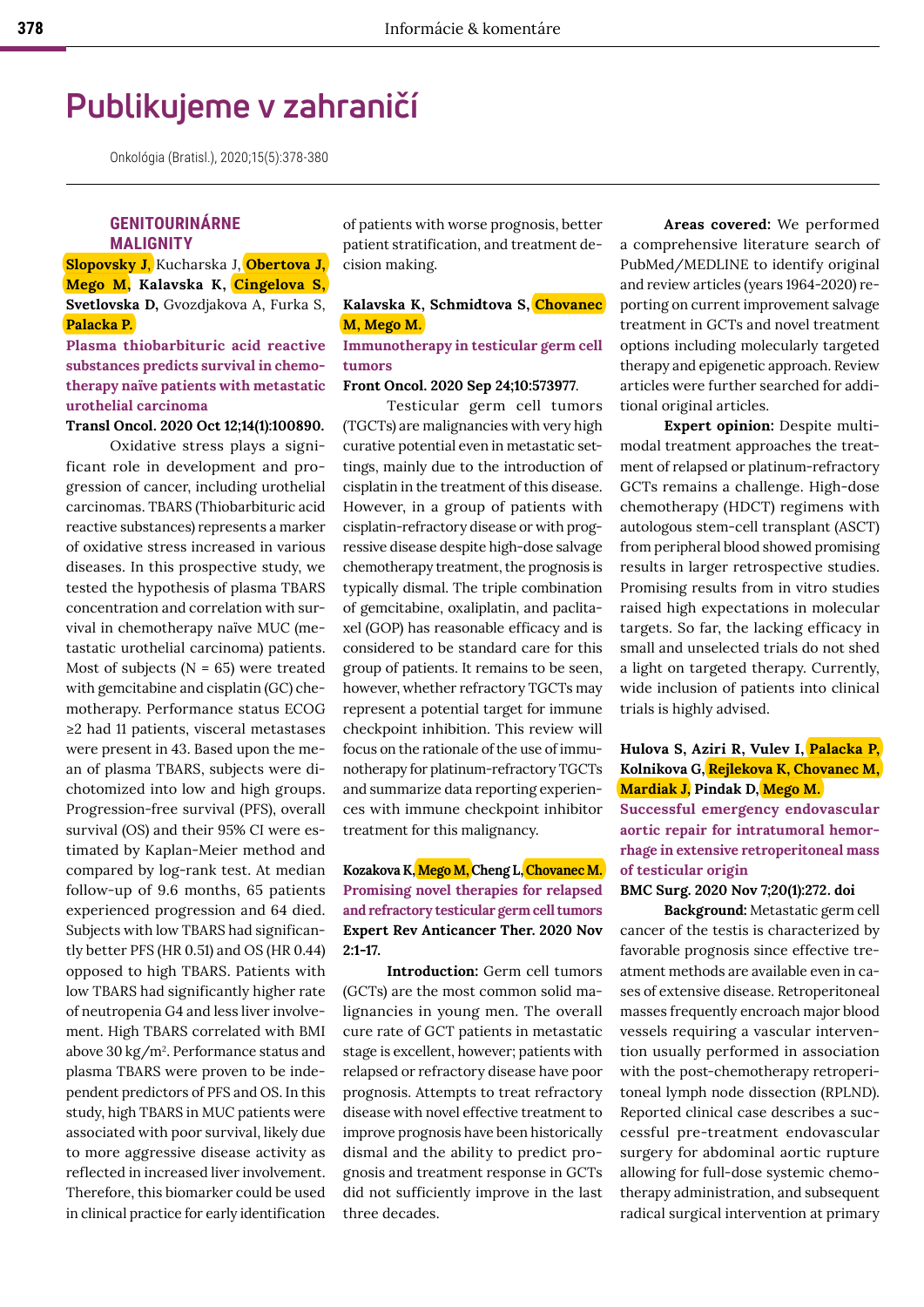# **Publikujeme v zahraničí**

Onkológia (Bratisl.), 2020;15(5):378-380

# **GENITOURINÁRNE MALIGNITY**

**Slopovsky J**, Kucharska J, **Obertova J, Mego M, Kalavska K, Cingelova S, Svetlovska D,** Gvozdjakova A, Furka S, **Palacka P.**

**Plasma thiobarbituric acid reactive substances predicts survival in chemotherapy naïve patients with metastatic urothelial carcinoma**

## **Transl Oncol. 2020 Oct 12;14(1):100890.**

Oxidative stress plays a significant role in development and progression of cancer, including urothelial carcinomas. TBARS (Thiobarbituric acid reactive substances) represents a marker of oxidative stress increased in various diseases. In this prospective study, we tested the hypothesis of plasma TBARS concentration and correlation with survival in chemotherapy naïve MUC (metastatic urothelial carcinoma) patients. Most of subjects ( $N = 65$ ) were treated with gemcitabine and cisplatin (GC) chemotherapy. Performance status ECOG ≥2 had 11 patients, visceral metastases were present in 43. Based upon the mean of plasma TBARS, subjects were dichotomized into low and high groups. Progression-free survival (PFS), overall survival (OS) and their 95% CI were estimated by Kaplan-Meier method and compared by log-rank test. At median follow-up of 9.6 months, 65 patients experienced progression and 64 died. Subjects with low TBARS had significantly better PFS (HR 0.51) and OS (HR 0.44) opposed to high TBARS. Patients with low TBARS had significantly higher rate of neutropenia G4 and less liver involvement. High TBARS correlated with BMI above 30 kg/m2. Performance status and plasma TBARS were proven to be independent predictors of PFS and OS. In this study, high TBARS in MUC patients were associated with poor survival, likely due to more aggressive disease activity as reflected in increased liver involvement. Therefore, this biomarker could be used in clinical practice for early identification

of patients with worse prognosis, better patient stratification, and treatment decision making.

# **Kalavska K, Schmidtova S, Chovanec M, Mego M.**

## **Immunotherapy in testicular germ cell tumors**

#### **Front Oncol. 2020 Sep 24;10:573977**.

Testicular germ cell tumors (TGCTs) are malignancies with very high curative potential even in metastatic settings, mainly due to the introduction of cisplatin in the treatment of this disease. However, in a group of patients with cisplatin-refractory disease or with progressive disease despite high-dose salvage chemotherapy treatment, the prognosis is typically dismal. The triple combination of gemcitabine, oxaliplatin, and paclitaxel (GOP) has reasonable efficacy and is considered to be standard care for this group of patients. It remains to be seen, however, whether refractory TGCTs may represent a potential target for immune checkpoint inhibition. This review will focus on the rationale of the use of immunotherapy for platinum-refractory TGCTs and summarize data reporting experiences with immune checkpoint inhibitor treatment for this malignancy.

# **Kozakova K, Mego M, Cheng L, Chovanec M. Promising novel therapies for relapsed and refractory testicular germ cell tumors Expert Rev Anticancer Ther. 2020 Nov 2:1-17.**

**Introduction:** Germ cell tumors (GCTs) are the most common solid malignancies in young men. The overall cure rate of GCT patients in metastatic stage is excellent, however; patients with relapsed or refractory disease have poor prognosis. Attempts to treat refractory disease with novel effective treatment to improve prognosis have been historically dismal and the ability to predict prognosis and treatment response in GCTs did not sufficiently improve in the last three decades.

**Areas covered:** We performed a comprehensive literature search of PubMed/MEDLINE to identify original and review articles (years 1964-2020) reporting on current improvement salvage treatment in GCTs and novel treatment options including molecularly targeted therapy and epigenetic approach. Review articles were further searched for additional original articles.

**Expert opinion:** Despite multimodal treatment approaches the treatment of relapsed or platinum-refractory GCTs remains a challenge. High-dose chemotherapy (HDCT) regimens with autologous stem-cell transplant (ASCT) from peripheral blood showed promising results in larger retrospective studies. Promising results from in vitro studies raised high expectations in molecular targets. So far, the lacking efficacy in small and unselected trials do not shed a light on targeted therapy. Currently, wide inclusion of patients into clinical trials is highly advised.

# **Hulova S, Aziri R, Vulev I, Palacka P, Kolnikova G, Rejlekova K, Chovanec M, Mardiak J, Pindak D, Mego M.**

**Successful emergency endovascular aortic repair for intratumoral hemorrhage in extensive retroperitoneal mass of testicular origin**

#### **BMC Surg. 2020 Nov 7;20(1):272. doi**

**Background:** Metastatic germ cell cancer of the testis is characterized by favorable prognosis since effective treatment methods are available even in cases of extensive disease. Retroperitoneal masses frequently encroach major blood vessels requiring a vascular intervention usually performed in association with the post-chemotherapy retroperitoneal lymph node dissection (RPLND). Reported clinical case describes a successful pre-treatment endovascular surgery for abdominal aortic rupture allowing for full-dose systemic chemotherapy administration, and subsequent radical surgical intervention at primary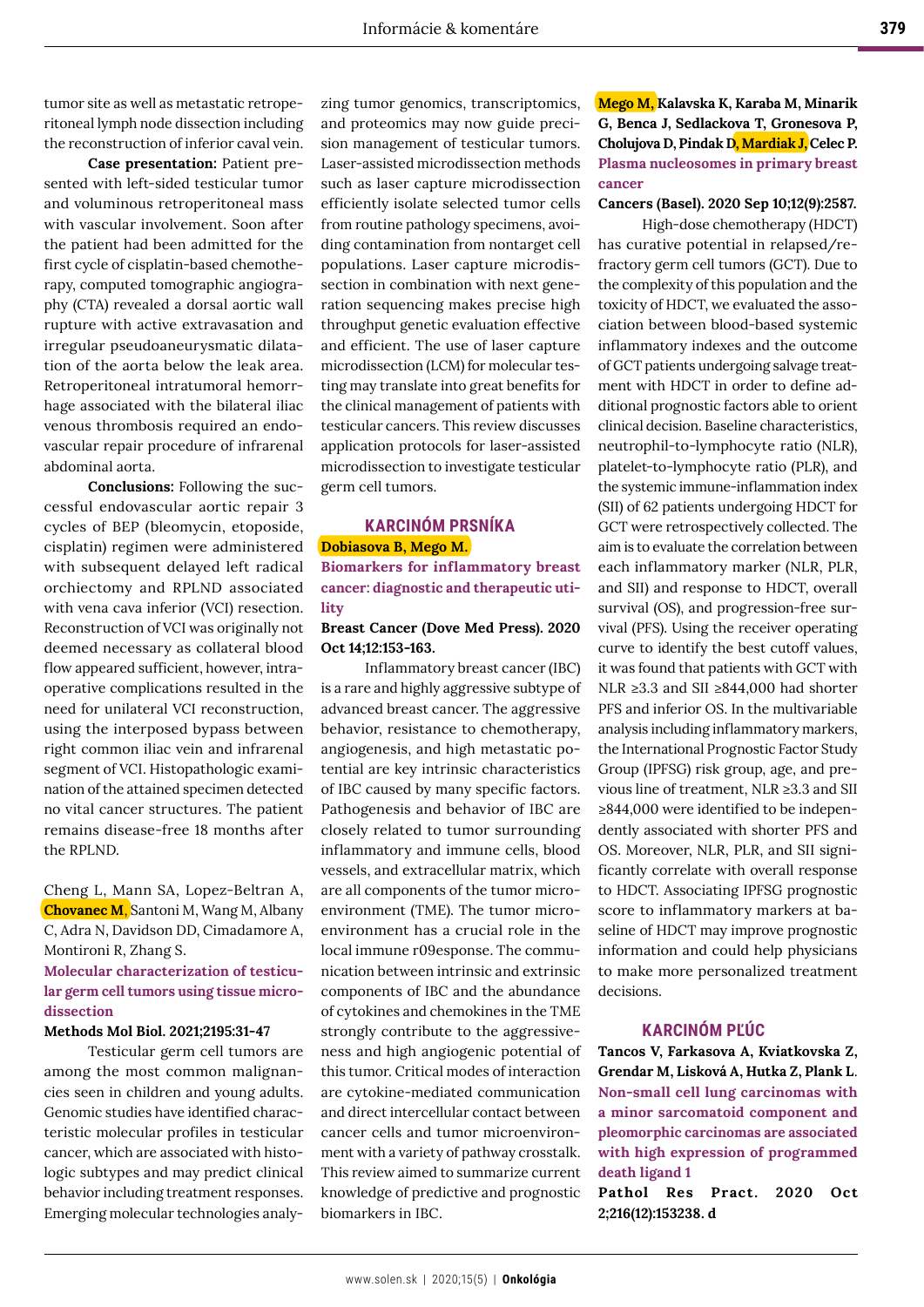tumor site as well as metastatic retroperitoneal lymph node dissection including the reconstruction of inferior caval vein.

**Case presentation:** Patient presented with left-sided testicular tumor and voluminous retroperitoneal mass with vascular involvement. Soon after the patient had been admitted for the first cycle of cisplatin-based chemotherapy, computed tomographic angiography (CTA) revealed a dorsal aortic wall rupture with active extravasation and irregular pseudoaneurysmatic dilatation of the aorta below the leak area. Retroperitoneal intratumoral hemorrhage associated with the bilateral iliac venous thrombosis required an endovascular repair procedure of infrarenal abdominal aorta.

**Conclusions:** Following the successful endovascular aortic repair 3 cycles of BEP (bleomycin, etoposide, cisplatin) regimen were administered with subsequent delayed left radical orchiectomy and RPLND associated with vena cava inferior (VCI) resection. Reconstruction of VCI was originally not deemed necessary as collateral blood flow appeared sufficient, however, intraoperative complications resulted in the need for unilateral VCI reconstruction, using the interposed bypass between right common iliac vein and infrarenal segment of VCI. Histopathologic examination of the attained specimen detected no vital cancer structures. The patient remains disease-free 18 months after the RPLND.

Cheng L, Mann SA, Lopez-Beltran A, **Chovanec M**, Santoni M, Wang M, Albany C, Adra N, Davidson DD, Cimadamore A, Montironi R, Zhang S.

# **Molecular characterization of testicular germ cell tumors using tissue microdissection**

#### **Methods Mol Biol. 2021;2195:31-47**

Testicular germ cell tumors are among the most common malignancies seen in children and young adults. Genomic studies have identified characteristic molecular profiles in testicular cancer, which are associated with histologic subtypes and may predict clinical behavior including treatment responses. Emerging molecular technologies analyzing tumor genomics, transcriptomics, and proteomics may now guide precision management of testicular tumors. Laser-assisted microdissection methods such as laser capture microdissection efficiently isolate selected tumor cells from routine pathology specimens, avoiding contamination from nontarget cell populations. Laser capture microdissection in combination with next generation sequencing makes precise high throughput genetic evaluation effective and efficient. The use of laser capture microdissection (LCM) for molecular testing may translate into great benefits for the clinical management of patients with testicular cancers. This review discusses application protocols for laser-assisted microdissection to investigate testicular germ cell tumors.

# **KARCINÓM PRSNÍKA Dobiasova B, Mego M.**

**Biomarkers for inflammatory breast cancer: diagnostic and therapeutic utility**

#### **Breast Cancer (Dove Med Press). 2020 Oct 14;12:153-163.**

Inflammatory breast cancer (IBC) is a rare and highly aggressive subtype of advanced breast cancer. The aggressive behavior, resistance to chemotherapy, angiogenesis, and high metastatic potential are key intrinsic characteristics of IBC caused by many specific factors. Pathogenesis and behavior of IBC are closely related to tumor surrounding inflammatory and immune cells, blood vessels, and extracellular matrix, which are all components of the tumor microenvironment (TME). The tumor microenvironment has a crucial role in the local immune r09esponse. The communication between intrinsic and extrinsic components of IBC and the abundance of cytokines and chemokines in the TME strongly contribute to the aggressiveness and high angiogenic potential of this tumor. Critical modes of interaction are cytokine-mediated communication and direct intercellular contact between cancer cells and tumor microenvironment with a variety of pathway crosstalk. This review aimed to summarize current knowledge of predictive and prognostic biomarkers in IBC.

**Mego M, Kalavska K, Karaba M, Minarik G, Benca J, Sedlackova T, Gronesova P, Cholujova D, Pindak D, Mardiak J, Celec P. Plasma nucleosomes in primary breast cancer**

#### **Cancers (Basel). 2020 Sep 10;12(9):2587.**

High-dose chemotherapy (HDCT) has curative potential in relapsed/refractory germ cell tumors (GCT). Due to the complexity of this population and the toxicity of HDCT, we evaluated the association between blood-based systemic inflammatory indexes and the outcome of GCT patients undergoing salvage treatment with HDCT in order to define additional prognostic factors able to orient clinical decision. Baseline characteristics, neutrophil-to-lymphocyte ratio (NLR), platelet-to-lymphocyte ratio (PLR), and the systemic immune-inflammation index (SII) of 62 patients undergoing HDCT for GCT were retrospectively collected. The aim is to evaluate the correlation between each inflammatory marker (NLR, PLR, and SII) and response to HDCT, overall survival (OS), and progression-free survival (PFS). Using the receiver operating curve to identify the best cutoff values, it was found that patients with GCT with NLR ≥3.3 and SII ≥844,000 had shorter PFS and inferior OS. In the multivariable analysis including inflammatory markers, the International Prognostic Factor Study Group (IPFSG) risk group, age, and previous line of treatment, NLR ≥3.3 and SII ≥844,000 were identified to be independently associated with shorter PFS and OS. Moreover, NLR, PLR, and SII significantly correlate with overall response to HDCT. Associating IPFSG prognostic score to inflammatory markers at baseline of HDCT may improve prognostic information and could help physicians to make more personalized treatment decisions.

## **KARCINÓM PĽÚC**

**Tancos V, Farkasova A, Kviatkovska Z, Grendar M, Lisková A, Hutka Z, Plank L**. **Non-small cell lung carcinomas with a minor sarcomatoid component and pleomorphic carcinomas are associated with high expression of programmed death ligand 1**

**Pathol Res Pract. 2020 Oct 2;216(12):153238. d**